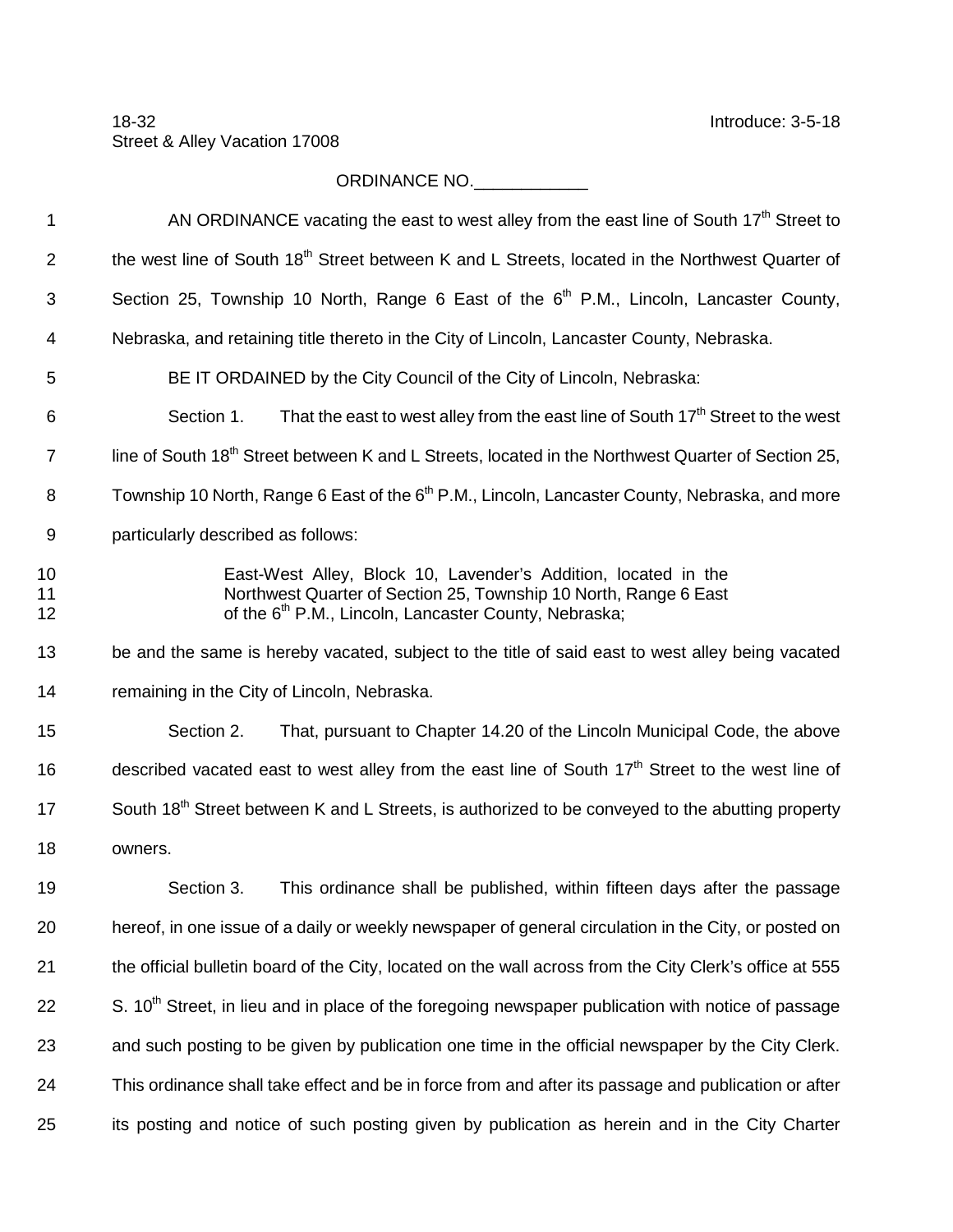## ORDINANCE NO.\_\_\_\_\_\_\_\_\_\_\_\_\_\_

| AN ORDINANCE vacating the east to west alley from the east line of South 17 <sup>th</sup> Street to                                                                                                     |
|---------------------------------------------------------------------------------------------------------------------------------------------------------------------------------------------------------|
| the west line of South 18 <sup>th</sup> Street between K and L Streets, located in the Northwest Quarter of                                                                                             |
| Section 25, Township 10 North, Range 6 East of the $6th$ P.M., Lincoln, Lancaster County,                                                                                                               |
| Nebraska, and retaining title thereto in the City of Lincoln, Lancaster County, Nebraska.                                                                                                               |
| BE IT ORDAINED by the City Council of the City of Lincoln, Nebraska:                                                                                                                                    |
| That the east to west alley from the east line of South 17 <sup>th</sup> Street to the west<br>Section 1.                                                                                               |
| line of South 18 <sup>th</sup> Street between K and L Streets, located in the Northwest Quarter of Section 25,                                                                                          |
| Township 10 North, Range 6 East of the 6 <sup>th</sup> P.M., Lincoln, Lancaster County, Nebraska, and more                                                                                              |
| particularly described as follows:                                                                                                                                                                      |
| East-West Alley, Block 10, Lavender's Addition, located in the<br>Northwest Quarter of Section 25, Township 10 North, Range 6 East<br>of the 6 <sup>th</sup> P.M., Lincoln, Lancaster County, Nebraska; |
| be and the same is hereby vacated, subject to the title of said east to west alley being vacated                                                                                                        |
| remaining in the City of Lincoln, Nebraska.                                                                                                                                                             |
| Section 2.<br>That, pursuant to Chapter 14.20 of the Lincoln Municipal Code, the above                                                                                                                  |
| described vacated east to west alley from the east line of South 17 <sup>th</sup> Street to the west line of                                                                                            |
| South 18 <sup>th</sup> Street between K and L Streets, is authorized to be conveyed to the abutting property                                                                                            |
| owners.                                                                                                                                                                                                 |
| This ordinance shall be published, within fifteen days after the passage<br>Section 3.                                                                                                                  |
| hereof, in one issue of a daily or weekly newspaper of general circulation in the City, or posted on                                                                                                    |
| the official bulletin board of the City, located on the wall across from the City Clerk's office at 555                                                                                                 |
| S. 10 <sup>th</sup> Street, in lieu and in place of the foregoing newspaper publication with notice of passage                                                                                          |
| and such posting to be given by publication one time in the official newspaper by the City Clerk.                                                                                                       |
| This ordinance shall take effect and be in force from and after its passage and publication or after                                                                                                    |
| its posting and notice of such posting given by publication as herein and in the City Charter                                                                                                           |
|                                                                                                                                                                                                         |